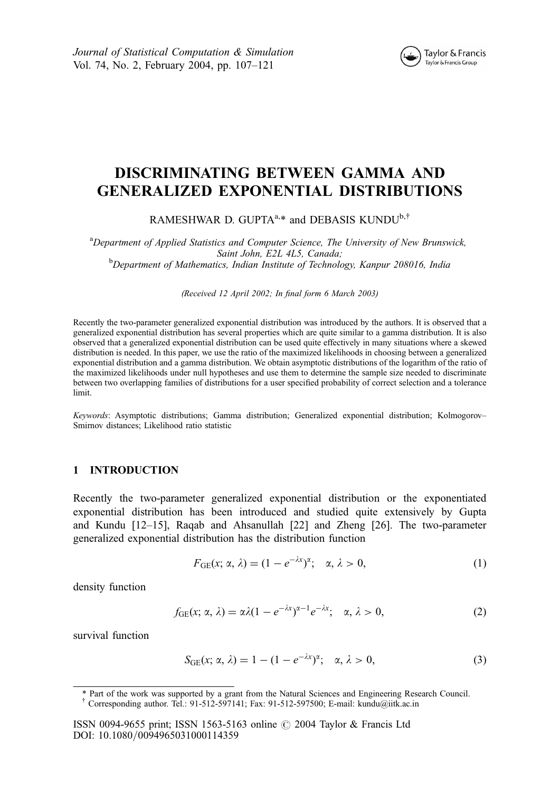Journal of Statistical Computation & Simulation Vol. 74, No. 2, February 2004, pp. 107–121



# DISCRIMINATING BETWEEN GAMMA AND GENERALIZED EXPONENTIAL DISTRIBUTIONS

RAMESHWAR D. GUPTA $a,*$  and DEBASIS KUNDU<sup>b,†</sup>

<sup>a</sup>Department of Applied Statistics and Computer Science, The University of New Brunswick, Saint John, E2L 4L5, Canada;<br><sup>b</sup>Department of Mathematics, Indian Institute of Technology, Kanpur 208016, India

(Received 12 April 2002; In final form 6 March 2003)

Recently the two-parameter generalized exponential distribution was introduced by the authors. It is observed that a generalized exponential distribution has several properties which are quite similar to a gamma distribution. It is also observed that a generalized exponential distribution can be used quite effectively in many situations where a skewed distribution is needed. In this paper, we use the ratio of the maximized likelihoods in choosing between a generalized exponential distribution and a gamma distribution. We obtain asymptotic distributions of the logarithm of the ratio of the maximized likelihoods under null hypotheses and use them to determine the sample size needed to discriminate between two overlapping families of distributions for a user specified probability of correct selection and a tolerance limit.

Keywords: Asymptotic distributions; Gamma distribution; Generalized exponential distribution; Kolmogorov-Smirnov distances; Likelihood ratio statistic

## 1 INTRODUCTION

Recently the two-parameter generalized exponential distribution or the exponentiated exponential distribution has been introduced and studied quite extensively by Gupta and Kundu [12–15], Raqab and Ahsanullah [22] and Zheng [26]. The two-parameter generalized exponential distribution has the distribution function

$$
F_{GE}(x; \alpha, \lambda) = (1 - e^{-\lambda x})^{\alpha}; \quad \alpha, \lambda > 0,
$$
\n(1)

density function

$$
f_{GE}(x; \alpha, \lambda) = \alpha \lambda (1 - e^{-\lambda x})^{\alpha - 1} e^{-\lambda x}; \quad \alpha, \lambda > 0,
$$
 (2)

survival function

$$
S_{GE}(x; \alpha, \lambda) = 1 - (1 - e^{-\lambda x})^{\alpha}; \quad \alpha, \lambda > 0,
$$
\n(3)

<sup>\*</sup> Part of the work was supported by a grant from the Natural Sciences and Engineering Research Council.

<sup>&</sup>lt;sup>†</sup> Corresponding author. Tel.: 91-512-597141; Fax: 91-512-597500; E-mail: kundu@iitk.ac.in

ISSN 0094-9655 print; ISSN 1563-5163 online  $\odot$  2004 Taylor & Francis Ltd DOI: 10.1080/0094965031000114359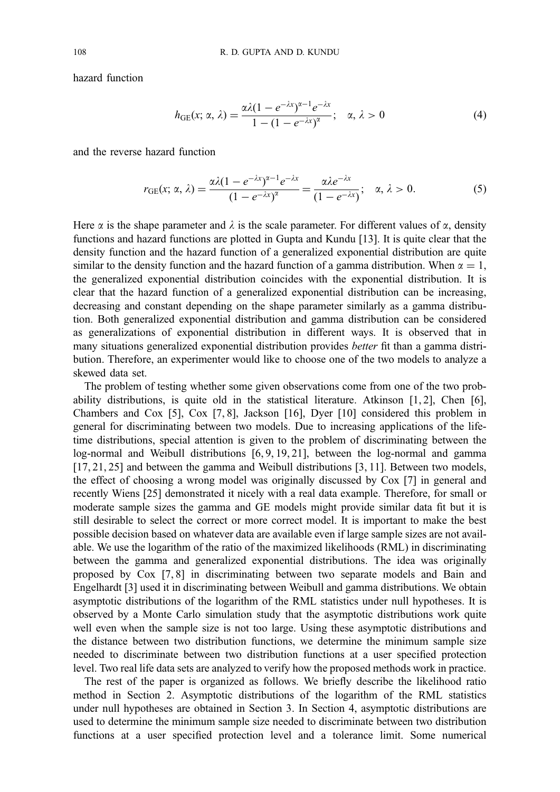hazard function

$$
h_{GE}(x; \alpha, \lambda) = \frac{\alpha \lambda (1 - e^{-\lambda x})^{\alpha - 1} e^{-\lambda x}}{1 - (1 - e^{-\lambda x})^{\alpha}}; \quad \alpha, \lambda > 0
$$
 (4)

and the reverse hazard function

$$
r_{GE}(x; \alpha, \lambda) = \frac{\alpha \lambda (1 - e^{-\lambda x})^{\alpha - 1} e^{-\lambda x}}{(1 - e^{-\lambda x})^{\alpha}} = \frac{\alpha \lambda e^{-\lambda x}}{(1 - e^{-\lambda x})}; \quad \alpha, \lambda > 0.
$$
 (5)

Here  $\alpha$  is the shape parameter and  $\lambda$  is the scale parameter. For different values of  $\alpha$ , density functions and hazard functions are plotted in Gupta and Kundu [13]. It is quite clear that the density function and the hazard function of a generalized exponential distribution are quite similar to the density function and the hazard function of a gamma distribution. When  $\alpha = 1$ , the generalized exponential distribution coincides with the exponential distribution. It is clear that the hazard function of a generalized exponential distribution can be increasing, decreasing and constant depending on the shape parameter similarly as a gamma distribution. Both generalized exponential distribution and gamma distribution can be considered as generalizations of exponential distribution in different ways. It is observed that in many situations generalized exponential distribution provides better fit than a gamma distribution. Therefore, an experimenter would like to choose one of the two models to analyze a skewed data set.

The problem of testing whether some given observations come from one of the two probability distributions, is quite old in the statistical literature. Atkinson  $[1, 2]$ , Chen  $[6]$ , Chambers and Cox [5], Cox [7, 8], Jackson [16], Dyer [10] considered this problem in general for discriminating between two models. Due to increasing applications of the lifetime distributions, special attention is given to the problem of discriminating between the log-normal and Weibull distributions [6, 9, 19, 21], between the log-normal and gamma [17, 21, 25] and between the gamma and Weibull distributions [3, 11]. Between two models, the effect of choosing a wrong model was originally discussed by Cox [7] in general and recently Wiens [25] demonstrated it nicely with a real data example. Therefore, for small or moderate sample sizes the gamma and GE models might provide similar data fit but it is still desirable to select the correct or more correct model. It is important to make the best possible decision based on whatever data are available even if large sample sizes are not available. We use the logarithm of the ratio of the maximized likelihoods (RML) in discriminating between the gamma and generalized exponential distributions. The idea was originally proposed by Cox [7, 8] in discriminating between two separate models and Bain and Engelhardt [3] used it in discriminating between Weibull and gamma distributions. We obtain asymptotic distributions of the logarithm of the RML statistics under null hypotheses. It is observed by a Monte Carlo simulation study that the asymptotic distributions work quite well even when the sample size is not too large. Using these asymptotic distributions and the distance between two distribution functions, we determine the minimum sample size needed to discriminate between two distribution functions at a user specified protection level. Two real life data sets are analyzed to verify how the proposed methods work in practice.

The rest of the paper is organized as follows. We briefly describe the likelihood ratio method in Section 2. Asymptotic distributions of the logarithm of the RML statistics under null hypotheses are obtained in Section 3. In Section 4, asymptotic distributions are used to determine the minimum sample size needed to discriminate between two distribution functions at a user specified protection level and a tolerance limit. Some numerical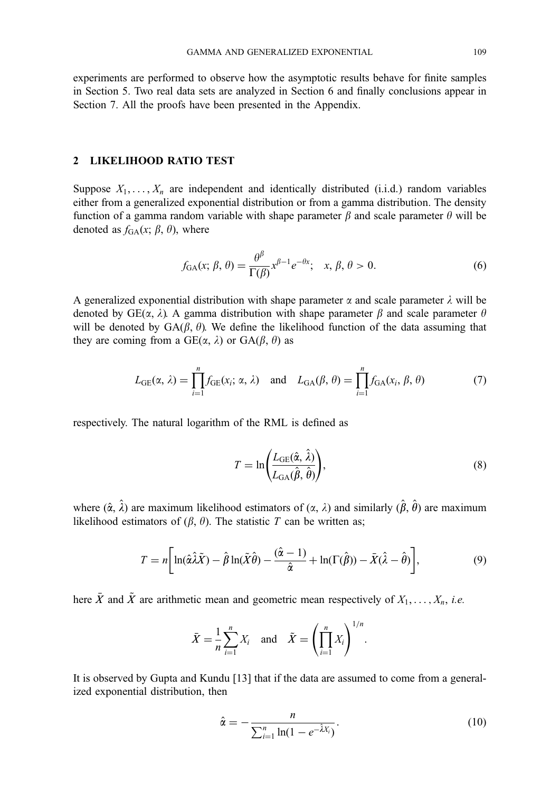experiments are performed to observe how the asymptotic results behave for finite samples in Section 5. Two real data sets are analyzed in Section 6 and finally conclusions appear in Section 7. All the proofs have been presented in the Appendix.

## 2 LIKELIHOOD RATIO TEST

Suppose  $X_1, \ldots, X_n$  are independent and identically distributed (i.i.d.) random variables either from a generalized exponential distribution or from a gamma distribution. The density function of a gamma random variable with shape parameter  $\beta$  and scale parameter  $\theta$  will be denoted as  $f_{GA}(x; \beta, \theta)$ , where

$$
f_{GA}(x; \beta, \theta) = \frac{\theta^{\beta}}{\Gamma(\beta)} x^{\beta - 1} e^{-\theta x}; \quad x, \beta, \theta > 0.
$$
 (6)

A generalized exponential distribution with shape parameter  $\alpha$  and scale parameter  $\lambda$  will be denoted by GE( $\alpha$ ,  $\lambda$ ). A gamma distribution with shape parameter  $\beta$  and scale parameter  $\theta$ will be denoted by  $GA(\beta, \theta)$ . We define the likelihood function of the data assuming that they are coming from a  $GE(\alpha, \lambda)$  or  $GA(\beta, \theta)$  as

$$
L_{GE}(\alpha, \lambda) = \prod_{i=1}^{n} f_{GE}(x_i; \alpha, \lambda) \quad \text{and} \quad L_{GA}(\beta, \theta) = \prod_{i=1}^{n} f_{GA}(x_i, \beta, \theta) \tag{7}
$$

respectively. The natural logarithm of the RML is defined as

$$
T = \ln\left(\frac{L_{\text{GE}}(\hat{\alpha}, \hat{\lambda})}{L_{\text{GA}}(\hat{\beta}, \hat{\theta})}\right),\tag{8}
$$

where  $(\hat{\alpha}, \hat{\lambda})$  are maximum likelihood estimators of  $(\alpha, \lambda)$  and similarly  $(\hat{\beta}, \hat{\theta})$  are maximum likelihood estimators of  $(\beta, \theta)$ . The statistic T can be written as;

$$
T = n \left[ \ln(\hat{\alpha}\hat{\lambda}\tilde{X}) - \hat{\beta}\ln(\tilde{X}\hat{\theta}) - \frac{(\hat{\alpha} - 1)}{\hat{\alpha}} + \ln(\Gamma(\hat{\beta})) - \bar{X}(\hat{\lambda} - \hat{\theta}) \right],\tag{9}
$$

here  $\bar{X}$  and  $\tilde{X}$  are arithmetic mean and geometric mean respectively of  $X_1, \ldots, X_n$ , i.e.

$$
\bar{X} = \frac{1}{n} \sum_{i=1}^{n} X_i \quad \text{and} \quad \tilde{X} = \left(\prod_{i=1}^{n} X_i\right)^{1/n}.
$$

It is observed by Gupta and Kundu [13] that if the data are assumed to come from a generalized exponential distribution, then

$$
\hat{\alpha} = -\frac{n}{\sum_{i=1}^{n} \ln(1 - e^{-\hat{\lambda}X_i})}.
$$
\n(10)

: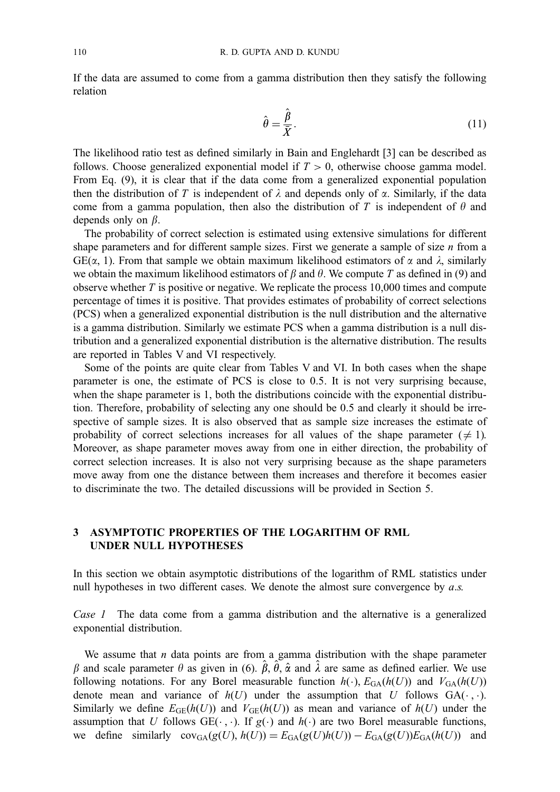If the data are assumed to come from a gamma distribution then they satisfy the following relation

$$
\hat{\theta} = \frac{\hat{\beta}}{\bar{X}}.\tag{11}
$$

The likelihood ratio test as defined similarly in Bain and Englehardt [3] can be described as follows. Choose generalized exponential model if  $T > 0$ , otherwise choose gamma model. From Eq. (9), it is clear that if the data come from a generalized exponential population then the distribution of T is independent of  $\lambda$  and depends only of  $\alpha$ . Similarly, if the data come from a gamma population, then also the distribution of T is independent of  $\theta$  and depends only on  $\beta$ .

The probability of correct selection is estimated using extensive simulations for different shape parameters and for different sample sizes. First we generate a sample of size  $n$  from a  $GE(\alpha, 1)$ . From that sample we obtain maximum likelihood estimators of  $\alpha$  and  $\lambda$ , similarly we obtain the maximum likelihood estimators of  $\beta$  and  $\theta$ . We compute T as defined in (9) and observe whether  $T$  is positive or negative. We replicate the process 10,000 times and compute percentage of times it is positive. That provides estimates of probability of correct selections (PCS) when a generalized exponential distribution is the null distribution and the alternative is a gamma distribution. Similarly we estimate PCS when a gamma distribution is a null distribution and a generalized exponential distribution is the alternative distribution. The results are reported in Tables V and VI respectively.

Some of the points are quite clear from Tables V and VI. In both cases when the shape parameter is one, the estimate of PCS is close to 0.5. It is not very surprising because, when the shape parameter is 1, both the distributions coincide with the exponential distribution. Therefore, probability of selecting any one should be 0.5 and clearly it should be irrespective of sample sizes. It is also observed that as sample size increases the estimate of probability of correct selections increases for all values of the shape parameter ( $\neq$  1). Moreover, as shape parameter moves away from one in either direction, the probability of correct selection increases. It is also not very surprising because as the shape parameters move away from one the distance between them increases and therefore it becomes easier to discriminate the two. The detailed discussions will be provided in Section 5.

## 3 ASYMPTOTIC PROPERTIES OF THE LOGARITHM OF RML UNDER NULL HYPOTHESES

In this section we obtain asymptotic distributions of the logarithm of RML statistics under null hypotheses in two different cases. We denote the almost sure convergence by  $a.s.$ 

Case 1 The data come from a gamma distribution and the alternative is a generalized exponential distribution.

We assume that  $n$  data points are from a gamma distribution with the shape parameter  $\beta$  and scale parameter  $\theta$  as given in (6).  $\hat{\beta}$ ,  $\hat{\theta}$ ,  $\hat{\alpha}$  and  $\hat{\lambda}$  are same as defined earlier. We use following notations. For any Borel measurable function  $h(\cdot)$ ,  $E_{GA}(h(U))$  and  $V_{GA}(h(U))$ denote mean and variance of  $h(U)$  under the assumption that U follows  $GA(\cdot, \cdot)$ . Similarly we define  $E_{GE}(h(U))$  and  $V_{GE}(h(U))$  as mean and variance of  $h(U)$  under the assumption that U follows  $GE(\cdot, \cdot)$ . If  $g(\cdot)$  and  $h(\cdot)$  are two Borel measurable functions, we define similarly  $cov_{GA}(g(U), h(U)) = E_{GA}(g(U)h(U)) - E_{GA}(g(U))E_{GA}(h(U))$  and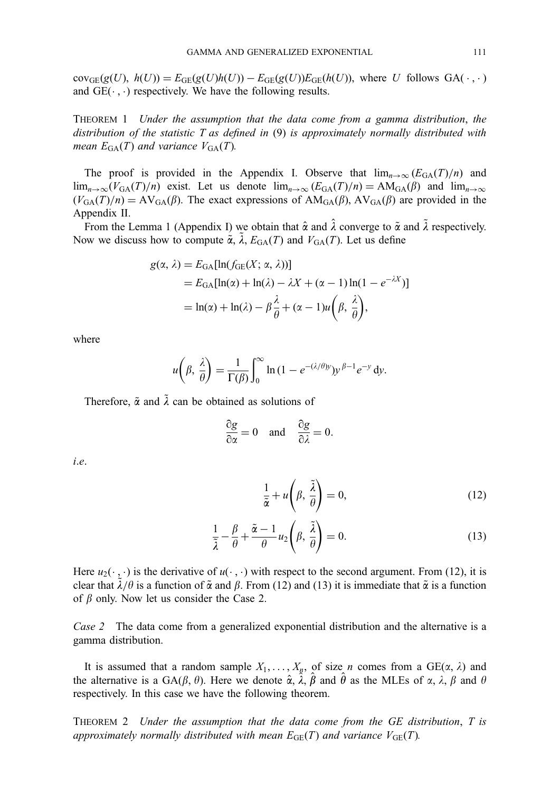$cov_{GE}(g(U), h(U)) = E_{GE}(g(U)h(U)) - E_{GE}(g(U))E_{GE}(h(U)),$  where U follows  $GA(\cdot, \cdot)$ and  $GE(\cdot, \cdot)$  respectively. We have the following results.

THEOREM 1 Under the assumption that the data come from a gamma distribution, the distribution of the statistic T as defined in (9) is approximately normally distributed with mean  $E_{GA}(T)$  and variance  $V_{GA}(T)$ .

The proof is provided in the Appendix I. Observe that  $\lim_{n\to\infty} (E_{GA}(T)/n)$  and  $\lim_{n\to\infty}(V_{GA}(T)/n)$  exist. Let us denote  $\lim_{n\to\infty}(E_{GA}(T)/n) = AM_{GA}(\beta)$  and  $\lim_{n\to\infty}$  $(V_{GA}(T)/n) = AV_{GA}(\beta)$ . The exact expressions of  $AM_{GA}(\beta)$ ,  $AV_{GA}(\beta)$  are provided in the Appendix II.

From the Lemma 1 (Appendix I) we obtain that  $\hat{\alpha}$  and  $\hat{\lambda}$  converge to  $\tilde{\alpha}$  and  $\tilde{\lambda}$  respectively. Now we discuss how to compute  $\tilde{\alpha}$ ,  $\tilde{\lambda}$ ,  $E_{\text{GA}}(T)$  and  $V_{\text{GA}}(T)$ . Let us define

$$
g(\alpha, \lambda) = E_{\text{GA}}[\ln(f_{\text{GE}}(X; \alpha, \lambda))]
$$
  
=  $E_{\text{GA}}[\ln(\alpha) + \ln(\lambda) - \lambda X + (\alpha - 1)\ln(1 - e^{-\lambda X})]$   
=  $\ln(\alpha) + \ln(\lambda) - \beta \frac{\lambda}{\theta} + (\alpha - 1)u\left(\beta, \frac{\lambda}{\theta}\right),$ 

where

$$
u\left(\beta, \frac{\lambda}{\theta}\right) = \frac{1}{\Gamma(\beta)} \int_0^\infty \ln\left(1 - e^{-(\lambda/\theta)y}\right) y^{\beta - 1} e^{-y} \, \mathrm{d}y.
$$

Therefore,  $\tilde{\alpha}$  and  $\tilde{\lambda}$  can be obtained as solutions of

$$
\frac{\partial g}{\partial \alpha} = 0 \quad \text{and} \quad \frac{\partial g}{\partial \lambda} = 0.
$$

i:e:

$$
\frac{1}{\tilde{\alpha}} + u\left(\beta, \frac{\tilde{\lambda}}{\theta}\right) = 0,\tag{12}
$$

$$
\frac{1}{\tilde{\lambda}} - \frac{\beta}{\theta} + \frac{\tilde{\alpha} - 1}{\theta} u_2 \left( \beta, \frac{\tilde{\lambda}}{\theta} \right) = 0.
$$
 (13)

Here  $u_2(\cdot, \cdot)$  is the derivative of  $u(\cdot, \cdot)$  with respect to the second argument. From (12), it is clear that  $\tilde{\lambda}/\theta$  is a function of  $\tilde{\alpha}$  and  $\beta$ . From (12) and (13) it is immediate that  $\tilde{\alpha}$  is a function of  $\beta$  only. Now let us consider the Case 2.

Case 2 The data come from a generalized exponential distribution and the alternative is a gamma distribution.

It is assumed that a random sample  $X_1, \ldots, X_n$ , of size *n* comes from a GE( $\alpha$ ,  $\lambda$ ) and the alternative is a GA( $\beta$ ,  $\theta$ ). Here we denote  $\hat{\alpha}$ ,  $\hat{\lambda}$ ,  $\hat{\beta}$  and  $\hat{\theta}$  as the MLEs of  $\alpha$ ,  $\lambda$ ,  $\beta$  and  $\theta$ respectively. In this case we have the following theorem.

THEOREM 2 Under the assumption that the data come from the GE distribution, T is approximately normally distributed with mean  $E_{GE}(T)$  and variance  $V_{GE}(T)$ .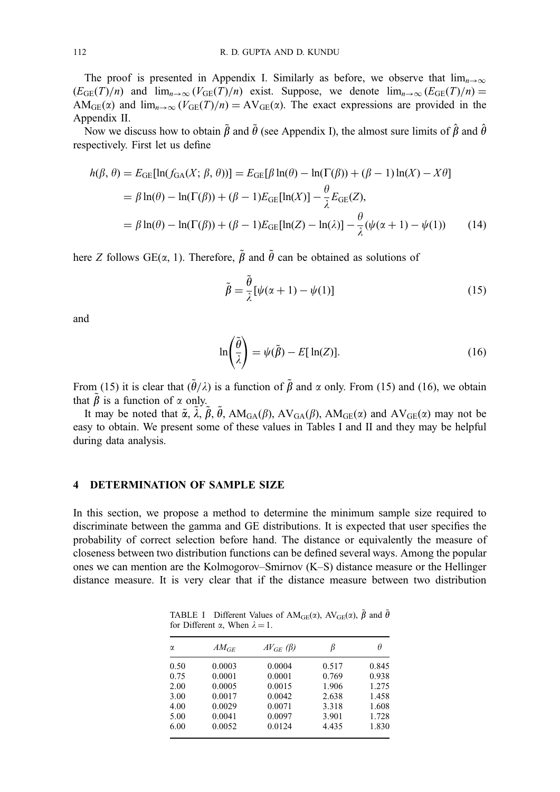The proof is presented in Appendix I. Similarly as before, we observe that  $\lim_{n\to\infty}$  $(E_{GE}(T)/n)$  and  $\lim_{n\to\infty} (V_{GE}(T)/n)$  exist. Suppose, we denote  $\lim_{n\to\infty} (E_{GE}(T)/n)$  = AM<sub>GE</sub>( $\alpha$ ) and  $\lim_{n\to\infty} (V_{GE}(T)/n) = AV_{GE}(\alpha)$ . The exact expressions are provided in the Appendix II.

Now we discuss how to obtain  $\tilde{\beta}$  and  $\tilde{\theta}$  (see Appendix I), the almost sure limits of  $\hat{\beta}$  and  $\hat{\theta}$ respectively. First let us define

$$
h(\beta, \theta) = E_{GE}[\ln(f_{GA}(X; \beta, \theta))] = E_{GE}[\beta \ln(\theta) - \ln(\Gamma(\beta)) + (\beta - 1)\ln(X) - X\theta]
$$
  
=  $\beta \ln(\theta) - \ln(\Gamma(\beta)) + (\beta - 1)E_{GE}[\ln(X)] - \frac{\theta}{\lambda}E_{GE}(Z),$   
=  $\beta \ln(\theta) - \ln(\Gamma(\beta)) + (\beta - 1)E_{GE}[\ln(Z) - \ln(\lambda)] - \frac{\theta}{\lambda}(\psi(\alpha + 1) - \psi(1))$  (14)

here Z follows  $GE(\alpha, 1)$ . Therefore,  $\tilde{\beta}$  and  $\tilde{\theta}$  can be obtained as solutions of

$$
\tilde{\beta} = \frac{\tilde{\theta}}{\lambda} [\psi(\alpha + 1) - \psi(1)] \tag{15}
$$

and

$$
\ln\left(\frac{\tilde{\theta}}{\lambda}\right) = \psi(\tilde{\beta}) - E[\ln(Z)].\tag{16}
$$

From (15) it is clear that  $({\tilde{\theta}}/\lambda)$  is a function of  $\tilde{\beta}$  and  $\alpha$  only. From (15) and (16), we obtain that  $\tilde{\beta}$  is a function of  $\alpha$  only.

It may be noted that  $\tilde{\alpha}$ ,  $\tilde{\lambda}$ ,  $\tilde{\beta}$ ,  $\tilde{\theta}$ , AM<sub>GA</sub>( $\beta$ ), AV<sub>GA</sub>( $\beta$ ), AM<sub>GE</sub>( $\alpha$ ) and AV<sub>GE</sub>( $\alpha$ ) may not be easy to obtain. We present some of these values in Tables I and II and they may be helpful during data analysis.

## 4 DETERMINATION OF SAMPLE SIZE

In this section, we propose a method to determine the minimum sample size required to discriminate between the gamma and GE distributions. It is expected that user specifies the probability of correct selection before hand. The distance or equivalently the measure of closeness between two distribution functions can be defined several ways. Among the popular ones we can mention are the Kolmogorov–Smirnov (K–S) distance measure or the Hellinger distance measure. It is very clear that if the distance measure between two distribution

TABLE I Different Values of  $AM_{GE}(\alpha)$ ,  $AV_{GE}(\alpha)$ ,  $\tilde{\beta}$  and  $\tilde{\theta}$ for Different  $\alpha$ , When  $\lambda = 1$ .

| α    | $AM_{GE}$ | $AV_{GE}(\beta)$ |       | θ     |
|------|-----------|------------------|-------|-------|
| 0.50 | 0.0003    | 0.0004           | 0.517 | 0.845 |
| 0.75 | 0.0001    | 0.0001           | 0.769 | 0.938 |
| 2.00 | 0.0005    | 0.0015           | 1.906 | 1.275 |
| 3.00 | 0.0017    | 0.0042           | 2.638 | 1.458 |
| 4.00 | 0.0029    | 0.0071           | 3.318 | 1.608 |
| 5.00 | 0.0041    | 0.0097           | 3.901 | 1.728 |
| 6.00 | 0.0052    | 0.0124           | 4.435 | 1.830 |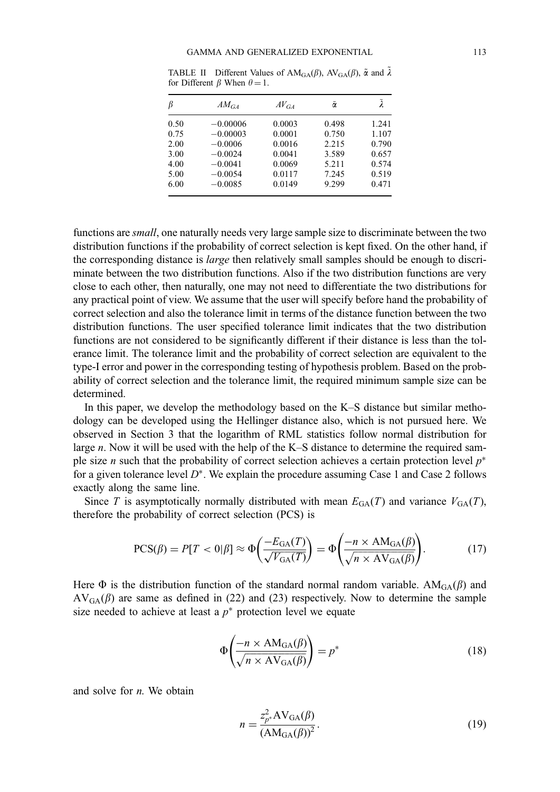| ß    | $AM_{GA}$  | $AV_{GA}$ | $\tilde{\alpha}$ |       |
|------|------------|-----------|------------------|-------|
| 0.50 | $-0.00006$ | 0.0003    | 0.498            | 1.241 |
| 0.75 | $-0.00003$ | 0.0001    | 0.750            | 1.107 |
| 2.00 | $-0.0006$  | 0.0016    | 2.215            | 0.790 |
| 3.00 | $-0.0024$  | 0.0041    | 3.589            | 0.657 |
| 4.00 | $-0.0041$  | 0.0069    | 5.211            | 0.574 |
| 5.00 | $-0.0054$  | 0.0117    | 7.245            | 0.519 |
| 6.00 | $-0.0085$  | 0.0149    | 9.299            | 0.471 |

TABLE II Different Values of  $AM_{GA}(\beta)$ ,  $AV_{GA}(\beta)$ ,  $\tilde{\alpha}$  and  $\tilde{\lambda}$ for Different  $\beta$  When  $\theta = 1$ .

functions are small, one naturally needs very large sample size to discriminate between the two distribution functions if the probability of correct selection is kept fixed. On the other hand, if the corresponding distance is *large* then relatively small samples should be enough to discriminate between the two distribution functions. Also if the two distribution functions are very close to each other, then naturally, one may not need to differentiate the two distributions for any practical point of view. We assume that the user will specify before hand the probability of correct selection and also the tolerance limit in terms of the distance function between the two distribution functions. The user specified tolerance limit indicates that the two distribution functions are not considered to be significantly different if their distance is less than the tolerance limit. The tolerance limit and the probability of correct selection are equivalent to the type-I error and power in the corresponding testing of hypothesis problem. Based on the probability of correct selection and the tolerance limit, the required minimum sample size can be determined.

In this paper, we develop the methodology based on the K–S distance but similar methodology can be developed using the Hellinger distance also, which is not pursued here. We observed in Section 3 that the logarithm of RML statistics follow normal distribution for large  $n$ . Now it will be used with the help of the K–S distance to determine the required sample size *n* such that the probability of correct selection achieves a certain protection level  $p^*$ for a given tolerance level  $D^*$ . We explain the procedure assuming Case 1 and Case 2 follows exactly along the same line.

Since T is asymptotically normally distributed with mean  $E_{\text{GA}}(T)$  and variance  $V_{\text{GA}}(T)$ , therefore the probability of correct selection (PCS) is

$$
PCS(\beta) = P[T < 0|\beta] \approx \Phi\left(\frac{-E_{\text{GA}}(T)}{\sqrt{V_{\text{GA}}(T)}}\right) = \Phi\left(\frac{-n \times \text{AM}_{\text{GA}}(\beta)}{\sqrt{n \times \text{AV}_{\text{GA}}(\beta)}}\right). \tag{17}
$$

Here  $\Phi$  is the distribution function of the standard normal random variable.  $AM_{GA}(\beta)$  and  $AV_{GA}(\beta)$  are same as defined in (22) and (23) respectively. Now to determine the sample size needed to achieve at least a  $p^*$  protection level we equate

$$
\Phi\left(\frac{-n \times \text{AM}_{\text{GA}}(\beta)}{\sqrt{n \times \text{AV}_{\text{GA}}(\beta)}}\right) = p^*
$$
\n(18)

and solve for  $n$ . We obtain

$$
n = \frac{z_{p^*}^2 \text{AV}_{\text{GA}}(\beta)}{(\text{AM}_{\text{GA}}(\beta))^2}.
$$
 (19)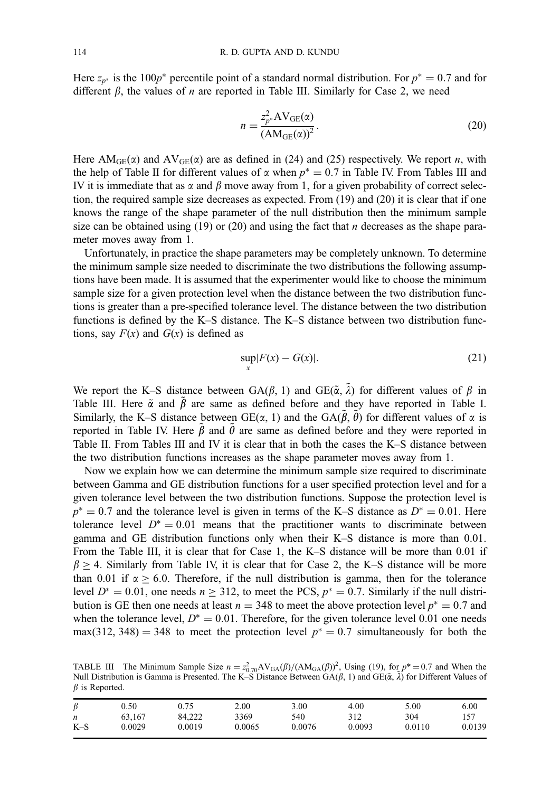Here  $z_{p^*}$  is the 100p<sup>\*</sup> percentile point of a standard normal distribution. For  $p^* = 0.7$  and for different  $\beta$ , the values of *n* are reported in Table III. Similarly for Case 2, we need

$$
n = \frac{z_{p^*}^2 \text{AV}_{GE}(\alpha)}{(\text{AM}_{GE}(\alpha))^2}.
$$
 (20)

Here AM<sub>GE</sub>( $\alpha$ ) and AV<sub>GE</sub>( $\alpha$ ) are as defined in (24) and (25) respectively. We report *n*, with the help of Table II for different values of  $\alpha$  when  $p^* = 0.7$  in Table IV. From Tables III and IV it is immediate that as  $\alpha$  and  $\beta$  move away from 1, for a given probability of correct selection, the required sample size decreases as expected. From (19) and (20) it is clear that if one knows the range of the shape parameter of the null distribution then the minimum sample size can be obtained using (19) or (20) and using the fact that  $n$  decreases as the shape parameter moves away from 1.

Unfortunately, in practice the shape parameters may be completely unknown. To determine the minimum sample size needed to discriminate the two distributions the following assumptions have been made. It is assumed that the experimenter would like to choose the minimum sample size for a given protection level when the distance between the two distribution functions is greater than a pre-specified tolerance level. The distance between the two distribution functions is defined by the K–S distance. The K–S distance between two distribution functions, say  $F(x)$  and  $G(x)$  is defined as

$$
\sup_{x} |F(x) - G(x)|. \tag{21}
$$

We report the K–S distance between GA( $\beta$ , 1) and GE( $\tilde{\alpha}$ ,  $\tilde{\lambda}$ ) for different values of  $\beta$  in Table III. Here  $\tilde{\alpha}$  and  $\tilde{\beta}$  are same as defined before and they have reported in Table I. Similarly, the K–S distance between  $GE(\alpha, 1)$  and the  $GA(\tilde{\beta}, \tilde{\theta})$  for different values of  $\alpha$  is reported in Table IV. Here  $\tilde{\beta}$  and  $\tilde{\theta}$  are same as defined before and they were reported in Table II. From Tables III and IV it is clear that in both the cases the K–S distance between the two distribution functions increases as the shape parameter moves away from 1.

Now we explain how we can determine the minimum sample size required to discriminate between Gamma and GE distribution functions for a user specified protection level and for a given tolerance level between the two distribution functions. Suppose the protection level is  $p^* = 0.7$  and the tolerance level is given in terms of the K–S distance as  $D^* = 0.01$ . Here tolerance level  $D^* = 0.01$  means that the practitioner wants to discriminate between gamma and GE distribution functions only when their K–S distance is more than 0.01. From the Table III, it is clear that for Case 1, the K–S distance will be more than 0.01 if  $\beta \geq 4$ . Similarly from Table IV, it is clear that for Case 2, the K–S distance will be more than 0.01 if  $\alpha \ge 6.0$ . Therefore, if the null distribution is gamma, then for the tolerance level  $D^* = 0.01$ , one needs  $n \ge 312$ , to meet the PCS,  $p^* = 0.7$ . Similarly if the null distribution is GE then one needs at least  $n = 348$  to meet the above protection level  $p^* = 0.7$  and when the tolerance level,  $D^* = 0.01$ . Therefore, for the given tolerance level 0.01 one needs max(312, 348) = 348 to meet the protection level  $p^* = 0.7$  simultaneously for both the

TABLE III The Minimum Sample Size  $n = z_{0.70}^2 AV_{GA}(\beta)/(AM_{GA}(\beta))^2$ , Using (19), for  $p^* = 0.7$  and When the Null Distribution is Gamma is Presented. The K-S Distance Between  $GA(\beta, 1)$  and  $GE(\tilde{\alpha}, \tilde{\lambda})$  for Different Values of  $\beta$  is Reported.

| $\beta$          | 0.50   | 0.75   | 2.00   | 3.00   | 4.00   | 5.00   | 6.00   |
|------------------|--------|--------|--------|--------|--------|--------|--------|
| $\boldsymbol{n}$ | 63.167 | 84.222 | 3369   | 540    | 312    | 304    | 157    |
| $K-S$            | 0.0029 | 0.0019 | 0.0065 | 0.0076 | 0.0093 | 0.0110 | 0.0139 |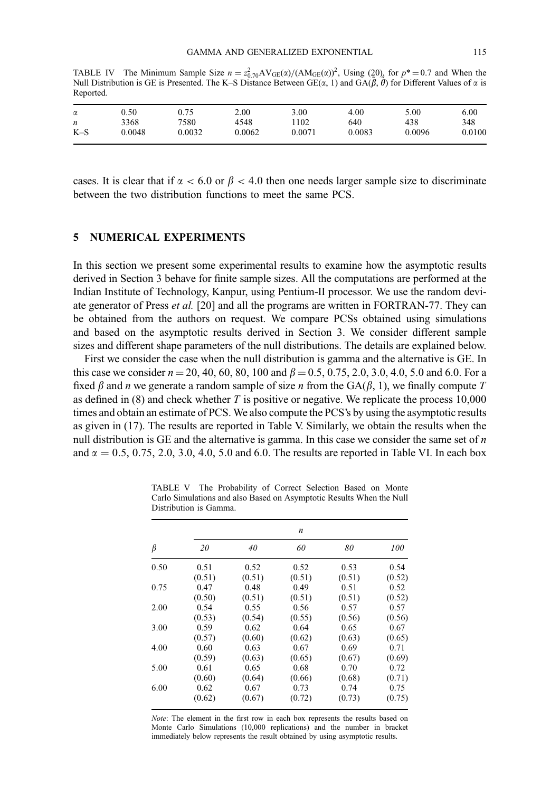TABLE IV The Minimum Sample Size  $n = z_{0.70}^2 A V_{GE}(\alpha)/(A M_{GE}(\alpha))^2$ , Using (20), for  $p^* = 0.7$  and When the Null Distribution is GE is Presented. The K–S Distance Between  $GE(x, 1)$  and  $GA(\tilde{\beta}, \tilde{\theta})$  for Different Values of  $\alpha$  is Reported.

| α     | 0.50   | 0.75   | 2.00   | 3.00   | 4.00   | 5.00   | 6.00       |
|-------|--------|--------|--------|--------|--------|--------|------------|
| n     | 3368   | 7580   | 4548   | 102    | 640    | 438    | 348        |
| $K-S$ | 0.0048 | 0.0032 | 0.0062 | 0.0071 | 0.0083 | 0.0096 | ${0.0100}$ |
|       |        |        |        |        |        |        |            |

cases. It is clear that if  $\alpha < 6.0$  or  $\beta < 4.0$  then one needs larger sample size to discriminate between the two distribution functions to meet the same PCS.

### 5 NUMERICAL EXPERIMENTS

In this section we present some experimental results to examine how the asymptotic results derived in Section 3 behave for finite sample sizes. All the computations are performed at the Indian Institute of Technology, Kanpur, using Pentium-II processor. We use the random deviate generator of Press et al. [20] and all the programs are written in FORTRAN-77. They can be obtained from the authors on request. We compare PCSs obtained using simulations and based on the asymptotic results derived in Section 3. We consider different sample sizes and different shape parameters of the null distributions. The details are explained below.

First we consider the case when the null distribution is gamma and the alternative is GE. In this case we consider  $n = 20, 40, 60, 80, 100$  and  $\beta = 0.5, 0.75, 2.0, 3.0, 4.0, 5.0$  and 6.0. For a fixed  $\beta$  and n we generate a random sample of size n from the  $GA(\beta, 1)$ , we finally compute T as defined in  $(8)$  and check whether T is positive or negative. We replicate the process 10,000 times and obtain an estimate of PCS. We also compute the PCS's by using the asymptotic results as given in (17). The results are reported in Table V. Similarly, we obtain the results when the null distribution is GE and the alternative is gamma. In this case we consider the same set of  $n$ and  $\alpha = 0.5, 0.75, 2.0, 3.0, 4.0, 5.0$  and 6.0. The results are reported in Table VI. In each box

| β    | $\boldsymbol{n}$ |        |        |        |        |  |  |
|------|------------------|--------|--------|--------|--------|--|--|
|      | 20               | 40     | 60     | 80     | 100    |  |  |
| 0.50 | 0.51             | 0.52   | 0.52   | 0.53   | 0.54   |  |  |
|      | (0.51)           | (0.51) | (0.51) | (0.51) | (0.52) |  |  |
| 0.75 | 0.47             | 0.48   | 0.49   | 0.51   | 0.52   |  |  |
|      | (0.50)           | (0.51) | (0.51) | (0.51) | (0.52) |  |  |
| 2.00 | 0.54             | 0.55   | 0.56   | 0.57   | 0.57   |  |  |
|      | (0.53)           | (0.54) | (0.55) | (0.56) | (0.56) |  |  |
| 3.00 | 0.59             | 0.62   | 0.64   | 0.65   | 0.67   |  |  |
|      | (0.57)           | (0.60) | (0.62) | (0.63) | (0.65) |  |  |
| 4.00 | 0.60             | 0.63   | 0.67   | 0.69   | 0.71   |  |  |
|      | (0.59)           | (0.63) | (0.65) | (0.67) | (0.69) |  |  |
| 5.00 | 0.61             | 0.65   | 0.68   | 0.70   | 0.72   |  |  |
|      | (0.60)           | (0.64) | (0.66) | (0.68) | (0.71) |  |  |
| 6.00 | 0.62             | 0.67   | 0.73   | 0.74   | 0.75   |  |  |
|      | (0.62)           | (0.67) | (0.72) | (0.73) | (0.75) |  |  |

TABLE V The Probability of Correct Selection Based on Monte Carlo Simulations and also Based on Asymptotic Results When the Null Distribution is Gamma.

Note: The element in the first row in each box represents the results based on Monte Carlo Simulations (10,000 replications) and the number in bracket immediately below represents the result obtained by using asymptotic results.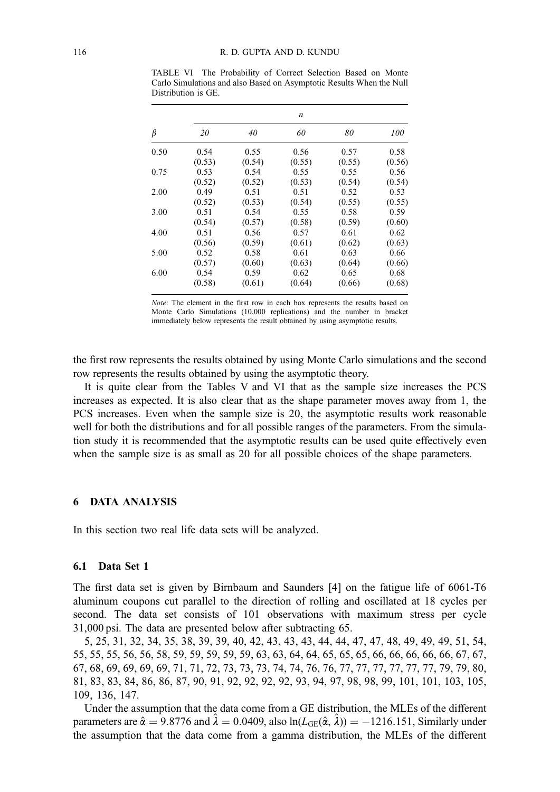TABLE VI The Probability of Correct Selection Based on Monte Carlo Simulations and also Based on Asymptotic Results When the Null Distribution is GE.

| β    | $\boldsymbol{n}$ |        |        |        |        |  |  |
|------|------------------|--------|--------|--------|--------|--|--|
|      | 20               | 40     | 60     | 80     | 100    |  |  |
| 0.50 | 0.54             | 0.55   | 0.56   | 0.57   | 0.58   |  |  |
|      | (0.53)           | (0.54) | (0.55) | (0.55) | (0.56) |  |  |
| 0.75 | 0.53             | 0.54   | 0.55   | 0.55   | 0.56   |  |  |
|      | (0.52)           | (0.52) | (0.53) | (0.54) | (0.54) |  |  |
| 2.00 | 0.49             | 0.51   | 0.51   | 0.52   | 0.53   |  |  |
|      | (0.52)           | (0.53) | (0.54) | (0.55) | (0.55) |  |  |
| 3.00 | 0.51             | 0.54   | 0.55   | 0.58   | 0.59   |  |  |
|      | (0.54)           | (0.57) | (0.58) | (0.59) | (0.60) |  |  |
| 4.00 | 0.51             | 0.56   | 0.57   | 0.61   | 0.62   |  |  |
|      | (0.56)           | (0.59) | (0.61) | (0.62) | (0.63) |  |  |
| 5.00 | 0.52             | 0.58   | 0.61   | 0.63   | 0.66   |  |  |
|      | (0.57)           | (0.60) | (0.63) | (0.64) | (0.66) |  |  |
| 6.00 | 0.54             | 0.59   | 0.62   | 0.65   | 0.68   |  |  |
|      | (0.58)           | (0.61) | (0.64) | (0.66) | (0.68) |  |  |

Note: The element in the first row in each box represents the results based on Monte Carlo Simulations (10,000 replications) and the number in bracket immediately below represents the result obtained by using asymptotic results.

the first row represents the results obtained by using Monte Carlo simulations and the second row represents the results obtained by using the asymptotic theory.

It is quite clear from the Tables V and VI that as the sample size increases the PCS increases as expected. It is also clear that as the shape parameter moves away from 1, the PCS increases. Even when the sample size is 20, the asymptotic results work reasonable well for both the distributions and for all possible ranges of the parameters. From the simulation study it is recommended that the asymptotic results can be used quite effectively even when the sample size is as small as 20 for all possible choices of the shape parameters.

## 6 DATA ANALYSIS

In this section two real life data sets will be analyzed.

#### 6.1 Data Set 1

The first data set is given by Birnbaum and Saunders [4] on the fatigue life of 6061-T6 aluminum coupons cut parallel to the direction of rolling and oscillated at 18 cycles per second. The data set consists of 101 observations with maximum stress per cycle 31,000 psi. The data are presented below after subtracting 65.

5, 25, 31, 32, 34, 35, 38, 39, 39, 40, 42, 43, 43, 43, 44, 44, 47, 47, 48, 49, 49, 49, 51, 54, 55, 55, 55, 56, 56, 58, 59, 59, 59, 59, 59, 63, 63, 64, 64, 65, 65, 65, 66, 66, 66, 66, 66, 67, 67, 67, 68, 69, 69, 69, 69, 71, 71, 72, 73, 73, 73, 74, 74, 76, 76, 77, 77, 77, 77, 77, 77, 79, 79, 80, 81, 83, 83, 84, 86, 86, 87, 90, 91, 92, 92, 92, 92, 93, 94, 97, 98, 98, 99, 101, 101, 103, 105, 109, 136, 147.

Under the assumption that the data come from a GE distribution, the MLEs of the different parameters are  $\hat{\alpha} = 9.8776$  and  $\hat{\lambda} = 0.0409$ , also ln $(L_{GE}(\hat{\alpha}, \hat{\lambda})) = -1216.151$ , Similarly under the assumption that the data come from a gamma distribution, the MLEs of the different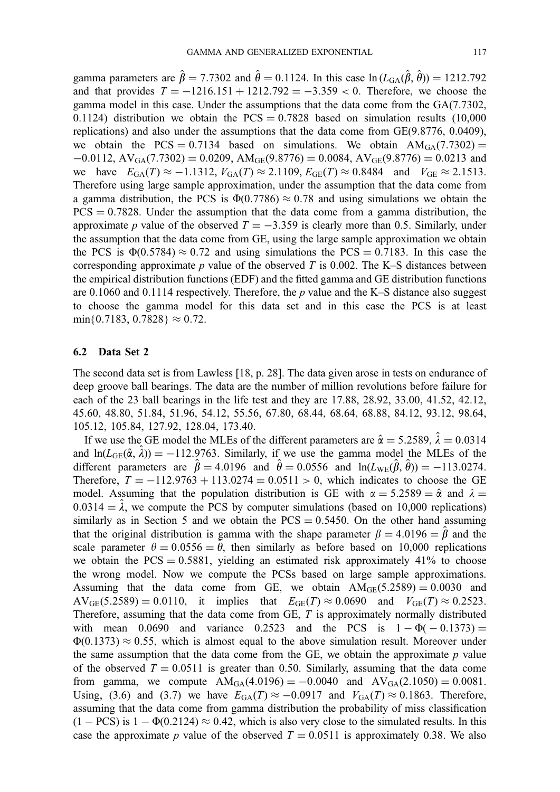gamma parameters are  $\hat{\beta} = 7.7302$  and  $\hat{\theta} = 0.1124$ . In this case  $\ln (L_{GA}(\hat{\beta}, \hat{\theta})) = 1212.792$ and that provides  $T = -1216.151 + 1212.792 = -3.359 < 0$ . Therefore, we choose the gamma model in this case. Under the assumptions that the data come from the GA(7.7302, 0.1124) distribution we obtain the  $PCS = 0.7828$  based on simulation results (10,000) replications) and also under the assumptions that the data come from GE(9.8776, 0.0409), we obtain the PCS = 0.7134 based on simulations. We obtain  $AM_{GA}(7.7302)$  =  $-0.0112$ ,  $AV_{GA}(7.7302) = 0.0209$ ,  $AM_{GE}(9.8776) = 0.0084$ ,  $AV_{GE}(9.8776) = 0.0213$  and we have  $E_{\text{GA}}(T) \approx -1.1312$ ,  $V_{\text{GA}}(T) \approx 2.1109$ ,  $E_{\text{GE}}(T) \approx 0.8484$  and  $V_{\text{GE}} \approx 2.1513$ . Therefore using large sample approximation, under the assumption that the data come from a gamma distribution, the PCS is  $\Phi(0.7786) \approx 0.78$  and using simulations we obtain the  $PCS = 0.7828$ . Under the assumption that the data come from a gamma distribution, the approximate p value of the observed  $T = -3.359$  is clearly more than 0.5. Similarly, under the assumption that the data come from GE, using the large sample approximation we obtain the PCS is  $\Phi(0.5784) \approx 0.72$  and using simulations the PCS = 0.7183. In this case the corresponding approximate p value of the observed T is 0.002. The K–S distances between the empirical distribution functions (EDF) and the fitted gamma and GE distribution functions are 0.1060 and 0.1114 respectively. Therefore, the  $p$  value and the K–S distance also suggest to choose the gamma model for this data set and in this case the PCS is at least  $min\{0.7183, 0.7828\} \approx 0.72.$ 

#### 6.2 Data Set 2

The second data set is from Lawless [18, p. 28]. The data given arose in tests on endurance of deep groove ball bearings. The data are the number of million revolutions before failure for each of the 23 ball bearings in the life test and they are 17.88, 28.92, 33.00, 41.52, 42.12, 45.60, 48.80, 51.84, 51.96, 54.12, 55.56, 67.80, 68.44, 68.64, 68.88, 84.12, 93.12, 98.64, 105.12, 105.84, 127.92, 128.04, 173.40.

If we use the GE model the MLEs of the different parameters are  $\hat{\alpha} = 5.2589, \hat{\lambda} = 0.0314$ and  $ln(L_{GE}(\hat{\alpha}, \hat{\lambda})) = -112.9763$ . Similarly, if we use the gamma model the MLEs of the different parameters are  $\hat{\beta} = 4.0196$  and  $\hat{\theta} = 0.0556$  and  $\ln(L_{WE}(\hat{\beta}, \hat{\theta})) = -113.0274$ . Therefore,  $T = -112.9763 + 113.0274 = 0.0511 > 0$ , which indicates to choose the GE model. Assuming that the population distribution is GE with  $\alpha = 5.2589 = \hat{\alpha}$  and  $\lambda =$  $0.0314 = \hat{\lambda}$ , we compute the PCS by computer simulations (based on 10,000 replications) similarly as in Section 5 and we obtain the  $PCS = 0.5450$ . On the other hand assuming that the original distribution is gamma with the shape parameter  $\beta = 4.0196 = \hat{\beta}$  and the scale parameter  $\theta = 0.0556 = \tilde{\theta}$ , then similarly as before based on 10,000 replications we obtain the  $PCS = 0.5881$ , yielding an estimated risk approximately 41% to choose the wrong model. Now we compute the PCSs based on large sample approximations. Assuming that the data come from GE, we obtain  $AM_{GE}(5.2589) = 0.0030$  and  $AV_{GE}(5.2589) = 0.0110$ , it implies that  $E_{GE}(T) \approx 0.0690$  and  $V_{GE}(T) \approx 0.2523$ . Therefore, assuming that the data come from  $GE$ ,  $T$  is approximately normally distributed with mean 0.0690 and variance 0.2523 and the PCS is  $1 - \Phi(-0.1373) =$  $\Phi(0.1373) \approx 0.55$ , which is almost equal to the above simulation result. Moreover under the same assumption that the data come from the GE, we obtain the approximate  $p$  value of the observed  $T = 0.0511$  is greater than 0.50. Similarly, assuming that the data come from gamma, we compute  $AM_{GA}(4.0196) = -0.0040$  and  $AV_{GA}(2.1050) = 0.0081$ . Using, (3.6) and (3.7) we have  $E_{GA}(T) \approx -0.0917$  and  $V_{GA}(T) \approx 0.1863$ . Therefore, assuming that the data come from gamma distribution the probability of miss classification  $(1 - PCS)$  is  $1 - \Phi(0.2124) \approx 0.42$ , which is also very close to the simulated results. In this case the approximate p value of the observed  $T = 0.0511$  is approximately 0.38. We also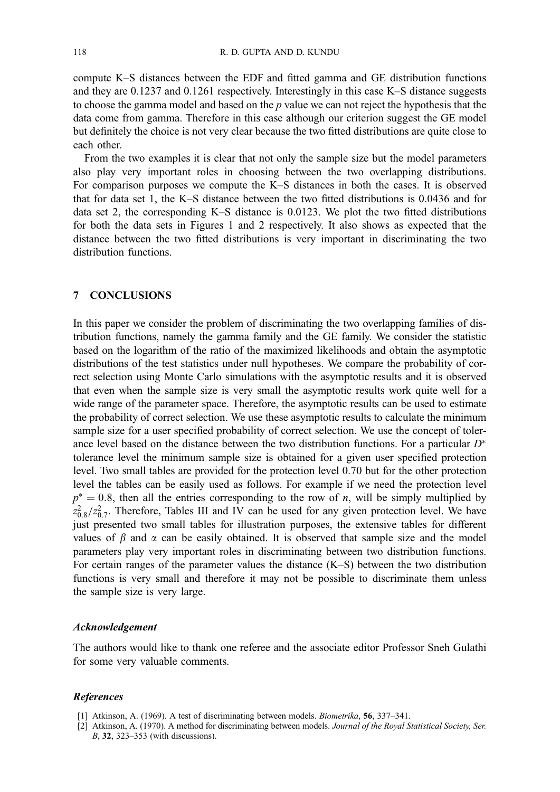compute K–S distances between the EDF and fitted gamma and GE distribution functions and they are 0.1237 and 0.1261 respectively. Interestingly in this case K–S distance suggests to choose the gamma model and based on the  $p$  value we can not reject the hypothesis that the data come from gamma. Therefore in this case although our criterion suggest the GE model but definitely the choice is not very clear because the two fitted distributions are quite close to each other.

From the two examples it is clear that not only the sample size but the model parameters also play very important roles in choosing between the two overlapping distributions. For comparison purposes we compute the K–S distances in both the cases. It is observed that for data set 1, the K–S distance between the two fitted distributions is 0.0436 and for data set 2, the corresponding K–S distance is 0.0123. We plot the two fitted distributions for both the data sets in Figures 1 and 2 respectively. It also shows as expected that the distance between the two fitted distributions is very important in discriminating the two distribution functions.

#### 7 CONCLUSIONS

In this paper we consider the problem of discriminating the two overlapping families of distribution functions, namely the gamma family and the GE family. We consider the statistic based on the logarithm of the ratio of the maximized likelihoods and obtain the asymptotic distributions of the test statistics under null hypotheses. We compare the probability of correct selection using Monte Carlo simulations with the asymptotic results and it is observed that even when the sample size is very small the asymptotic results work quite well for a wide range of the parameter space. Therefore, the asymptotic results can be used to estimate the probability of correct selection. We use these asymptotic results to calculate the minimum sample size for a user specified probability of correct selection. We use the concept of tolerance level based on the distance between the two distribution functions. For a particular  $D^*$ tolerance level the minimum sample size is obtained for a given user specified protection level. Two small tables are provided for the protection level 0.70 but for the other protection level the tables can be easily used as follows. For example if we need the protection level  $p^* = 0.8$ , then all the entries corresponding to the row of n, will be simply multiplied by  $z_{0.8}^2/z_{0.7}^2$ . Therefore, Tables III and IV can be used for any given protection level. We have just presented two small tables for illustration purposes, the extensive tables for different values of  $\beta$  and  $\alpha$  can be easily obtained. It is observed that sample size and the model parameters play very important roles in discriminating between two distribution functions. For certain ranges of the parameter values the distance (K–S) between the two distribution functions is very small and therefore it may not be possible to discriminate them unless the sample size is very large.

#### Acknowledgement

The authors would like to thank one referee and the associate editor Professor Sneh Gulathi for some very valuable comments.

#### **References**

[1] Atkinson, A. (1969). A test of discriminating between models. Biometrika, 56, 337–341.

<sup>[2]</sup> Atkinson, A. (1970). A method for discriminating between models. Journal of the Royal Statistical Society, Ser. B, 32, 323–353 (with discussions).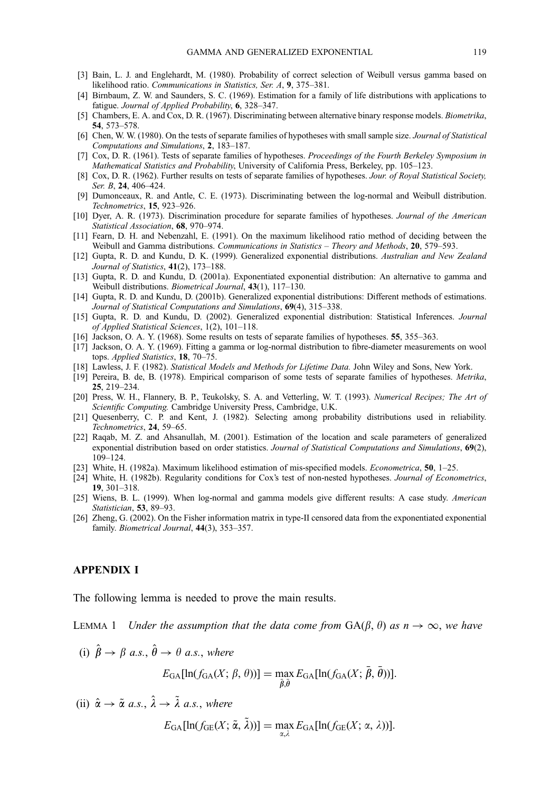- [3] Bain, L. J. and Englehardt, M. (1980). Probability of correct selection of Weibull versus gamma based on likelihood ratio. Communications in Statistics, Ser. A, 9, 375–381.
- [4] Birnbaum, Z. W. and Saunders, S. C. (1969). Estimation for a family of life distributions with applications to fatigue. Journal of Applied Probability, 6, 328–347.
- [5] Chambers, E. A. and Cox, D. R. (1967). Discriminating between alternative binary response models. Biometrika, 54, 573–578.
- [6] Chen, W. W. (1980). On the tests of separate families of hypotheses with small sample size. Journal of Statistical Computations and Simulations, 2, 183–187.
- [7] Cox, D. R. (1961). Tests of separate families of hypotheses. Proceedings of the Fourth Berkeley Symposium in Mathematical Statistics and Probability, University of California Press, Berkeley, pp. 105–123.
- [8] Cox, D. R. (1962). Further results on tests of separate families of hypotheses. Jour. of Royal Statistical Society, Ser. B, 24, 406–424.
- [9] Dumonceaux, R. and Antle, C. E. (1973). Discriminating between the log-normal and Weibull distribution. Technometrics, 15, 923–926.
- [10] Dyer, A. R. (1973). Discrimination procedure for separate families of hypotheses. Journal of the American Statistical Association, 68, 970–974.
- [11] Fearn, D. H. and Nebenzahl, E. (1991). On the maximum likelihood ratio method of deciding between the Weibull and Gamma distributions. Communications in Statistics – Theory and Methods, 20, 579–593.
- [12] Gupta, R. D. and Kundu, D. K. (1999). Generalized exponential distributions. Australian and New Zealand Journal of Statistics, 41(2), 173–188.
- [13] Gupta, R. D. and Kundu, D. (2001a). Exponentiated exponential distribution: An alternative to gamma and Weibull distributions. Biometrical Journal, 43(1), 117–130.
- [14] Gupta, R. D. and Kundu, D. (2001b). Generalized exponential distributions: Different methods of estimations. Journal of Statistical Computations and Simulations, 69(4), 315–338.
- [15] Gupta, R. D. and Kundu, D. (2002). Generalized exponential distribution: Statistical Inferences. Journal of Applied Statistical Sciences, 1(2), 101–118.
- [16] Jackson, O. A. Y. (1968). Some results on tests of separate families of hypotheses. 55, 355–363.
- [17] Jackson, O. A. Y. (1969). Fitting a gamma or log-normal distribution to fibre-diameter measurements on wool tops. Applied Statistics, 18, 70–75.
- [18] Lawless, J. F. (1982). Statistical Models and Methods for Lifetime Data. John Wiley and Sons, New York.
- [19] Pereira, B. de, B. (1978). Empirical comparison of some tests of separate families of hypotheses. Metrika, 25, 219–234.
- [20] Press, W. H., Flannery, B. P., Teukolsky, S. A. and Vetterling, W. T. (1993). Numerical Recipes; The Art of Scientific Computing. Cambridge University Press, Cambridge, U.K.
- [21] Quesenberry, C. P. and Kent, J. (1982). Selecting among probability distributions used in reliability. Technometrics, 24, 59–65.
- [22] Raqab, M. Z. and Ahsanullah, M. (2001). Estimation of the location and scale parameters of generalized exponential distribution based on order statistics. Journal of Statistical Computations and Simulations, 69(2), 109–124.
- [23] White, H. (1982a). Maximum likelihood estimation of mis-specified models. Econometrica, 50, 1–25.
- [24] White, H. (1982b). Regularity conditions for Cox's test of non-nested hypotheses. Journal of Econometrics, 19, 301–318.
- [25] Wiens, B. L. (1999). When log-normal and gamma models give different results: A case study. American Statistician, 53, 89-93.
- [26] Zheng, G. (2002). On the Fisher information matrix in type-II censored data from the exponentiated exponential family. Biometrical Journal, 44(3), 353–357.

## APPENDIX I

The following lemma is needed to prove the main results.

LEMMA 1 Under the assumption that the data come from  $GA(\beta, \theta)$  as  $n \to \infty$ , we have

(i) 
$$
\hat{\beta} \rightarrow \beta
$$
 a.s.,  $\hat{\theta} \rightarrow \theta$  a.s., where

$$
E_{\text{GA}}[\ln(f_{\text{GA}}(X; \beta, \theta))] = \max_{\bar{\beta}, \bar{\theta}} E_{\text{GA}}[\ln(f_{\text{GA}}(X; \bar{\beta}, \bar{\theta}))].
$$

(ii)  $\hat{\alpha} \rightarrow \tilde{\alpha}$  a.s.,  $\hat{\lambda} \rightarrow \tilde{\lambda}$  a.s., where

$$
E_{\text{GA}}[\ln(f_{\text{GE}}(X; \tilde{\alpha}, \tilde{\lambda}))] = \max_{\alpha, \lambda} E_{\text{GA}}[\ln(f_{\text{GE}}(X; \alpha, \lambda))].
$$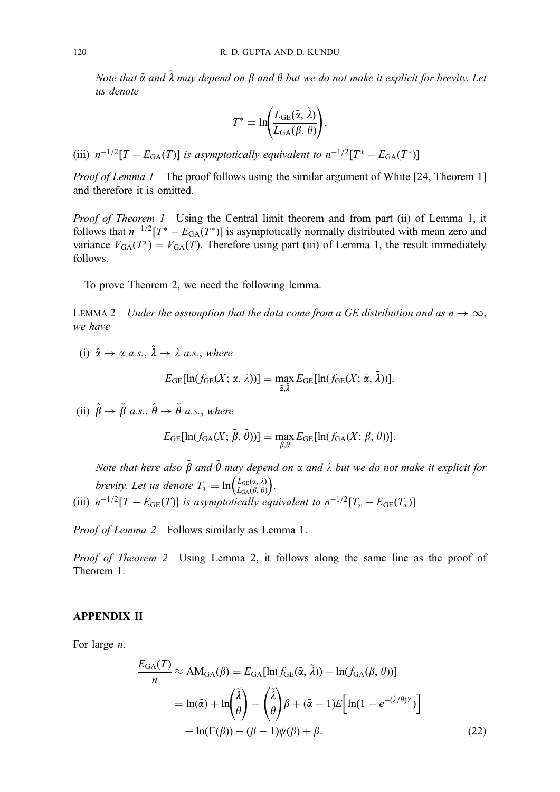Note that  $\tilde{\alpha}$  and  $\tilde{\lambda}$  may depend on  $\beta$  and  $\theta$  but we do not make it explicit for brevity. Let us denote

$$
T^* = \ln\left(\frac{L_{\text{GE}}(\tilde{\alpha}, \tilde{\lambda})}{L_{\text{GA}}(\beta, \theta)}\right).
$$

(iii)  $n^{-1/2}[T - E_{GA}(T)]$  is asymptotically equivalent to  $n^{-1/2}[T^* - E_{GA}(T^*)]$ 

Proof of Lemma 1 The proof follows using the similar argument of White [24, Theorem 1] and therefore it is omitted.

Proof of Theorem 1 Using the Central limit theorem and from part (ii) of Lemma 1, it follows that  $n^{-1/2}[T^* - E_{GA}(T^*)]$  is asymptotically normally distributed with mean zero and variance  $V_{GA}(T^*) = V_{GA}(T)$ . Therefore using part (iii) of Lemma 1, the result immediately follows.

To prove Theorem 2, we need the following lemma.

LEMMA 2 Under the assumption that the data come from a GE distribution and as  $n \to \infty$ , we have

(i)  $\hat{\alpha} \rightarrow \alpha \text{ a.s.}, \hat{\lambda} \rightarrow \lambda \text{ a.s.}, \text{ where}$ 

$$
E_{\text{GE}}[\ln(f_{\text{GE}}(X; \alpha, \lambda))] = \max_{\bar{\alpha}, \bar{\lambda}} E_{\text{GE}}[\ln(f_{\text{GE}}(X; \bar{\alpha}, \bar{\lambda}))].
$$

(ii)  $\hat{\beta} \rightarrow \tilde{\beta}$  a.s.,  $\hat{\theta} \rightarrow \tilde{\theta}$  a.s., where

$$
E_{\text{GE}}[\ln(f_{\text{GA}}(X;\tilde{\beta},\tilde{\theta}))]=\max_{\beta,\theta}E_{\text{GE}}[\ln(f_{\text{GA}}(X;\beta,\theta))].
$$

Note that here also  $\tilde{\beta}$  and  $\tilde{\theta}$  may depend on  $\alpha$  and  $\lambda$  but we do not make it explicit for brevity. Let us denote  $T_* = \ln \left( \frac{L_{GE}(x, \lambda)}{L_{GA}(\beta, \theta)} \right)$ . (iii)  $n^{-1/2}[T - E_{GE}(T)]$  is asymptotically equivalent to  $n^{-1/2}[T_{*} - E_{GE}(T_{*})]$ 

Proof of Lemma 2 Follows similarly as Lemma 1.

Proof of Theorem 2 Using Lemma 2, it follows along the same line as the proof of Theorem 1.

## APPENDIX II

For large n,

$$
\frac{E_{\text{GA}}(T)}{n} \approx \text{AM}_{\text{GA}}(\beta) = E_{\text{GA}}[\ln(f_{\text{GE}}(\tilde{\alpha}, \tilde{\lambda})) - \ln(f_{\text{GA}}(\beta, \theta))]
$$

$$
= \ln(\tilde{\alpha}) + \ln\left(\frac{\tilde{\lambda}}{\theta}\right) - \left(\frac{\tilde{\lambda}}{\theta}\right)\beta + (\tilde{\alpha} - 1)E\left[\ln(1 - e^{-(\tilde{\lambda}/\theta)Y})\right]
$$

$$
+ \ln(\Gamma(\beta)) - (\beta - 1)\psi(\beta) + \beta.
$$
(22)